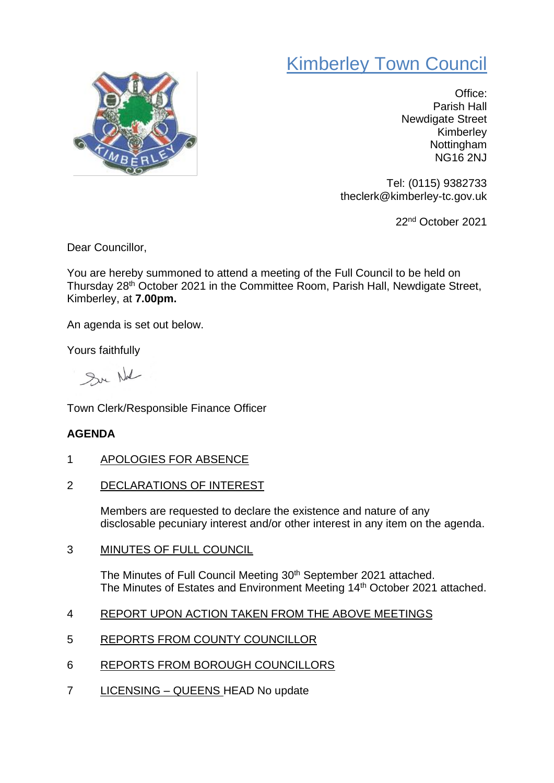## Kimberley Town Council



Office: Parish Hall Newdigate Street Kimberley Nottingham NG16 2NJ

Tel: (0115) 9382733 theclerk@kimberley-tc.gov.uk

22nd October 2021

Dear Councillor,

You are hereby summoned to attend a meeting of the Full Council to be held on Thursday 28th October 2021 in the Committee Room, Parish Hall, Newdigate Street, Kimberley, at **7.00pm.**

An agenda is set out below.

Yours faithfully

Sur Nal

Town Clerk/Responsible Finance Officer

## **AGENDA**

- 1 APOLOGIES FOR ABSENCE
- 2 DECLARATIONS OF INTEREST

Members are requested to declare the existence and nature of any disclosable pecuniary interest and/or other interest in any item on the agenda.

3 MINUTES OF FULL COUNCIL

The Minutes of Full Council Meeting 30<sup>th</sup> September 2021 attached. The Minutes of Estates and Environment Meeting 14<sup>th</sup> October 2021 attached.

- 4 REPORT UPON ACTION TAKEN FROM THE ABOVE MEETINGS
- 5 REPORTS FROM COUNTY COUNCILLOR
- 6 REPORTS FROM BOROUGH COUNCILLORS
- 7 LICENSING QUEENS HEAD No update